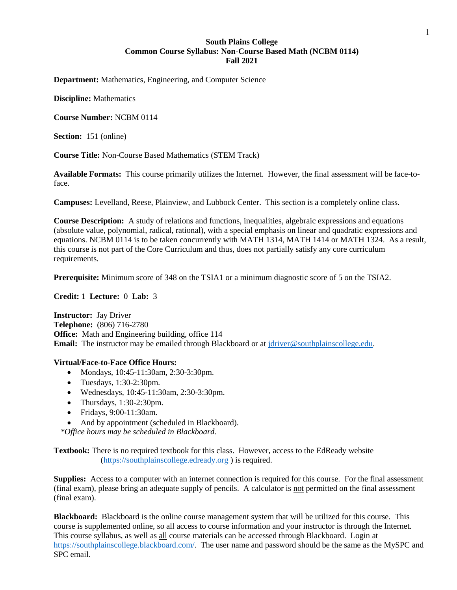# **South Plains College Common Course Syllabus: Non-Course Based Math (NCBM 0114) Fall 2021**

**Department:** Mathematics, Engineering, and Computer Science

**Discipline:** Mathematics

**Course Number:** NCBM 0114

**Section:** 151 (online)

**Course Title:** Non-Course Based Mathematics (STEM Track)

**Available Formats:** This course primarily utilizes the Internet. However, the final assessment will be face-toface.

**Campuses:** Levelland, Reese, Plainview, and Lubbock Center. This section is a completely online class.

**Course Description:** A study of relations and functions, inequalities, algebraic expressions and equations (absolute value, polynomial, radical, rational), with a special emphasis on linear and quadratic expressions and equations. NCBM 0114 is to be taken concurrently with MATH 1314, MATH 1414 or MATH 1324. As a result, this course is not part of the Core Curriculum and thus, does not partially satisfy any core curriculum requirements.

**Prerequisite:** Minimum score of 348 on the TSIA1 or a minimum diagnostic score of 5 on the TSIA2.

**Credit:** 1 **Lecture:** 0 **Lab:** 3

**Instructor:** Jay Driver **Telephone:** (806) 716-2780 **Office:** Math and Engineering building, office 114 **Email:** The instructor may be emailed through Blackboard or at [jdriver@southplainscollege.edu.](mailto:jdriver@southplainscollege.edu)

### **Virtual/Face-to-Face Office Hours:**

- Mondays, 10:45-11:30am, 2:30-3:30pm.
- Tuesdays,  $1:30-2:30$ pm.
- Wednesdays, 10:45-11:30am, 2:30-3:30pm.
- Thursdays,  $1:30-2:30$ pm.
- Fridays, 9:00-11:30am.
- And by appointment (scheduled in Blackboard).

*\*Office hours may be scheduled in Blackboard.*

**Textbook:** There is no required textbook for this class. However, access to the EdReady website [\(https://southplainscollege.edready.org](https://southplainscollege.edready.org/) ) is required.

**Supplies:** Access to a computer with an internet connection is required for this course. For the final assessment (final exam), please bring an adequate supply of pencils. A calculator is not permitted on the final assessment (final exam).

**Blackboard:** Blackboard is the online course management system that will be utilized for this course. This course is supplemented online, so all access to course information and your instructor is through the Internet. This course syllabus, as well as all course materials can be accessed through Blackboard. Login at [https://southplainscollege.blackboard.com/.](https://southplainscollege.blackboard.com/) The user name and password should be the same as the MySPC and SPC email.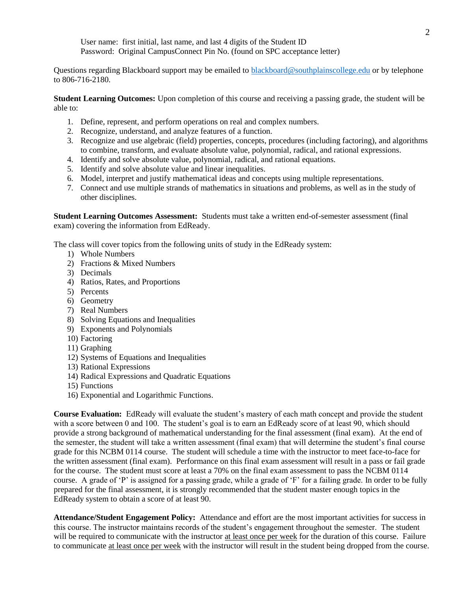User name: first initial, last name, and last 4 digits of the Student ID Password: Original CampusConnect Pin No. (found on SPC acceptance letter)

Questions regarding Blackboard support may be emailed to [blackboard@southplainscollege.edu](mailto:blackboard@southplainscollege.edu) or by telephone to 806-716-2180.

**Student Learning Outcomes:** Upon completion of this course and receiving a passing grade, the student will be able to:

- 1. Define, represent, and perform operations on real and complex numbers.
- 2. Recognize, understand, and analyze features of a function.
- 3. Recognize and use algebraic (field) properties, concepts, procedures (including factoring), and algorithms to combine, transform, and evaluate absolute value, polynomial, radical, and rational expressions.
- 4. Identify and solve absolute value, polynomial, radical, and rational equations.
- 5. Identify and solve absolute value and linear inequalities.
- 6. Model, interpret and justify mathematical ideas and concepts using multiple representations.
- 7. Connect and use multiple strands of mathematics in situations and problems, as well as in the study of other disciplines.

**Student Learning Outcomes Assessment:** Students must take a written end-of-semester assessment (final exam) covering the information from EdReady.

The class will cover topics from the following units of study in the EdReady system:

- 1) Whole Numbers
- 2) Fractions & Mixed Numbers
- 3) Decimals
- 4) Ratios, Rates, and Proportions
- 5) Percents
- 6) Geometry
- 7) Real Numbers
- 8) Solving Equations and Inequalities
- 9) Exponents and Polynomials
- 10) Factoring
- 11) Graphing
- 12) Systems of Equations and Inequalities
- 13) Rational Expressions
- 14) Radical Expressions and Quadratic Equations
- 15) Functions
- 16) Exponential and Logarithmic Functions.

**Course Evaluation:** EdReady will evaluate the student's mastery of each math concept and provide the student with a score between 0 and 100. The student's goal is to earn an EdReady score of at least 90, which should provide a strong background of mathematical understanding for the final assessment (final exam). At the end of the semester, the student will take a written assessment (final exam) that will determine the student's final course grade for this NCBM 0114 course. The student will schedule a time with the instructor to meet face-to-face for the written assessment (final exam). Performance on this final exam assessment will result in a pass or fail grade for the course. The student must score at least a 70% on the final exam assessment to pass the NCBM 0114 course. A grade of 'P' is assigned for a passing grade, while a grade of 'F' for a failing grade. In order to be fully prepared for the final assessment, it is strongly recommended that the student master enough topics in the EdReady system to obtain a score of at least 90.

**Attendance/Student Engagement Policy:** Attendance and effort are the most important activities for success in this course. The instructor maintains records of the student's engagement throughout the semester. The student will be required to communicate with the instructor at least once per week for the duration of this course. Failure to communicate at least once per week with the instructor will result in the student being dropped from the course.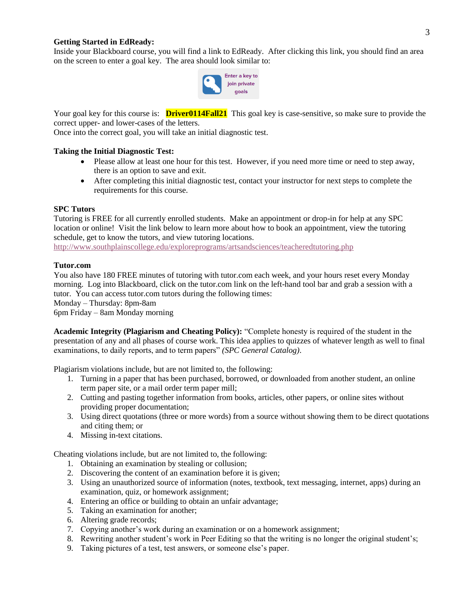## **Getting Started in EdReady:**

Inside your Blackboard course, you will find a link to EdReady. After clicking this link, you should find an area on the screen to enter a goal key. The area should look similar to:



Your goal key for this course is: **Driver0114Fall21** This goal key is case-sensitive, so make sure to provide the correct upper- and lower-cases of the letters.

Once into the correct goal, you will take an initial diagnostic test.

#### **Taking the Initial Diagnostic Test:**

- Please allow at least one hour for this test. However, if you need more time or need to step away, there is an option to save and exit.
- After completing this initial diagnostic test, contact your instructor for next steps to complete the requirements for this course.

#### **SPC Tutors**

Tutoring is FREE for all currently enrolled students. Make an appointment or drop-in for help at any SPC location or online! Visit the link below to learn more about how to book an appointment, view the tutoring schedule, get to know the tutors, and view tutoring locations.

<http://www.southplainscollege.edu/exploreprograms/artsandsciences/teacheredtutoring.php>

#### **Tutor.com**

You also have 180 FREE minutes of tutoring with tutor.com each week, and your hours reset every Monday morning. Log into Blackboard, click on the tutor.com link on the left-hand tool bar and grab a session with a tutor. You can access tutor.com tutors during the following times:

Monday – Thursday: 8pm-8am

6pm Friday – 8am Monday morning

**Academic Integrity (Plagiarism and Cheating Policy):** "Complete honesty is required of the student in the presentation of any and all phases of course work. This idea applies to quizzes of whatever length as well to final examinations, to daily reports, and to term papers" *(SPC General Catalog)*.

Plagiarism violations include, but are not limited to, the following:

- 1. Turning in a paper that has been purchased, borrowed, or downloaded from another student, an online term paper site, or a mail order term paper mill;
- 2. Cutting and pasting together information from books, articles, other papers, or online sites without providing proper documentation;
- 3. Using direct quotations (three or more words) from a source without showing them to be direct quotations and citing them; or
- 4. Missing in-text citations.

Cheating violations include, but are not limited to, the following:

- 1. Obtaining an examination by stealing or collusion;
- 2. Discovering the content of an examination before it is given;
- 3. Using an unauthorized source of information (notes, textbook, text messaging, internet, apps) during an examination, quiz, or homework assignment;
- 4. Entering an office or building to obtain an unfair advantage;
- 5. Taking an examination for another;
- 6. Altering grade records;
- 7. Copying another's work during an examination or on a homework assignment;
- 8. Rewriting another student's work in Peer Editing so that the writing is no longer the original student's;
- 9. Taking pictures of a test, test answers, or someone else's paper.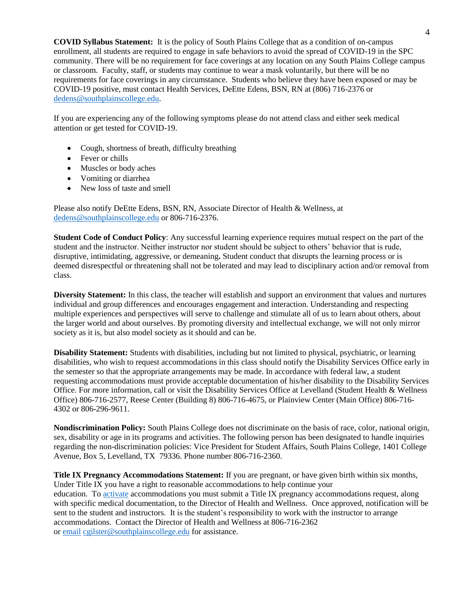**COVID Syllabus Statement:** It is the policy of South Plains College that as a condition of on-campus enrollment, all students are required to engage in safe behaviors to avoid the spread of COVID-19 in the SPC community. There will be no requirement for face coverings at any location on any South Plains College campus or classroom. Faculty, staff, or students may continue to wear a mask voluntarily, but there will be no requirements for face coverings in any circumstance. Students who believe they have been exposed or may be COVID-19 positive, must contact Health Services, DeEtte Edens, BSN, RN at (806) 716-2376 or [dedens@southplainscollege.edu.](mailto:dedens@southplainscollege.edu)

If you are experiencing any of the following symptoms please do not attend class and either seek medical attention or get tested for COVID-19.

- Cough, shortness of breath, difficulty breathing
- Fever or chills
- Muscles or body aches
- Vomiting or diarrhea
- New loss of taste and smell

Please also notify DeEtte Edens, BSN, RN, Associate Director of Health & Wellness, at [dedens@southplainscollege.edu](mailto:dedens@southplainscollege.edu) or 806-716-2376.

**Student Code of Conduct Policy**: Any successful learning experience requires mutual respect on the part of the student and the instructor. Neither instructor nor student should be subject to others' behavior that is rude, disruptive, intimidating, aggressive, or demeaning**.** Student conduct that disrupts the learning process or is deemed disrespectful or threatening shall not be tolerated and may lead to disciplinary action and/or removal from class.

**Diversity Statement:** In this class, the teacher will establish and support an environment that values and nurtures individual and group differences and encourages engagement and interaction. Understanding and respecting multiple experiences and perspectives will serve to challenge and stimulate all of us to learn about others, about the larger world and about ourselves. By promoting diversity and intellectual exchange, we will not only mirror society as it is, but also model society as it should and can be.

**Disability Statement:** Students with disabilities, including but not limited to physical, psychiatric, or learning disabilities, who wish to request accommodations in this class should notify the Disability Services Office early in the semester so that the appropriate arrangements may be made. In accordance with federal law, a student requesting accommodations must provide acceptable documentation of his/her disability to the Disability Services Office. For more information, call or visit the Disability Services Office at Levelland (Student Health & Wellness Office) 806-716-2577, Reese Center (Building 8) 806-716-4675, or Plainview Center (Main Office) 806-716- 4302 or 806-296-9611.

**Nondiscrimination Policy:** South Plains College does not discriminate on the basis of race, color, national origin, sex, disability or age in its programs and activities. The following person has been designated to handle inquiries regarding the non-discrimination policies: Vice President for Student Affairs, South Plains College, 1401 College Avenue, Box 5, Levelland, TX 79336. Phone number 806-716-2360.

**Title IX Pregnancy Accommodations Statement:** If you are pregnant, or have given birth within six months, Under Title IX you have a right to reasonable accommodations to help continue your education. To [activate](http://www.southplainscollege.edu/employees/manualshandbooks/facultyhandbook/sec4.php) accommodations you must submit a Title IX pregnancy accommodations request, along with specific medical documentation, to the Director of Health and Wellness. Once approved, notification will be sent to the student and instructors. It is the student's responsibility to work with the instructor to arrange accommodations. Contact the Director of Health and Wellness at 806-716-2362 or [email](http://www.southplainscollege.edu/employees/manualshandbooks/facultyhandbook/sec4.php) [cgilster@southplainscollege.edu](mailto:cgilster@southplainscollege.edu) for assistance.